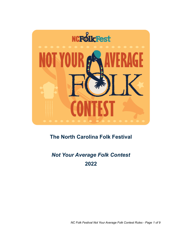

# **The North Carolina Folk Festival**

# *Not Your Average Folk Contest* **2022**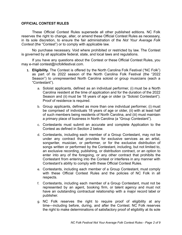### **OFFICIAL CONTEST RULES**

These Official Contest Rules supersede all other published editions. NC Folk reserves the right to change, alter, or amend these Official Contest Rules as necessary, in its sole discretion, to ensure the fair administration of the *Not Your Average Folk Contest* (the "Contest") or to comply with applicable law.

No purchase necessary. Void where prohibited or restricted by law. The Contest is governed by all applicable federal, state, and local laws and regulations.

If you have any questions about the Contest or these Official Contest Rules, you may e-mail contest@ncfolkfestival.com.

- **1. Eligibility.** The Contest is offered by the North Carolina Folk Festival ("NC Folk") as part of its 2022 season of the North Carolina Folk Festival (the "2022 Season") to unrepresented North Carolina soloist or group musicians (each a "Contestant").
	- a. Soloist applicants, defined as an individual performer, (i) must be a North Carolina resident at the time of application and for the duration of the 2022 Season and (ii) must be 18 years of age or older (a "Soloist Contestant"). Proof of residence is required.
	- b. Group applicants, defined as more than one individual performer, (i) must be comprised of individuals 18 years of age or older, (ii) with at least half of such members being residents of North Carolina, and (iii) must maintain a primary place of business in North Carolina (a "Group Contestant").
	- c. Contestants must submit an accurate and complete Application to the Contest as defined in Section 2 below.
	- d. Contestants, including each member of a Group Contestant, may not be under any contract that provides for exclusive services as an artist, songwriter, musician, or performer, or for the exclusive distribution of songs written or performed by the Contestant, including, but not limited to, an exclusive recording, publishing, or distribution contract, or an option to enter into any of the foregoing, or any other contract that prohibits the Contestant from entering into the Contest or interferes in any manner with Contestant's ability to comply with these Official Contest Rules.
	- e. Contestants, including each member of a Group Contestant, must comply with these Official Contest Rules and the policies of NC Folk in all respects.
	- f. Contestants, including each member of a Group Contestant, must not be represented by an agent, booking firm, or talent agency and must not have an outstanding contractual relationship with a major record label or publisher.
	- g. NC Folk reserves the right to require proof of eligibility at any time—including before, during, and after the Contest. NC Folk reserves the right to make determinations of satisfactory proof of eligibility at its sole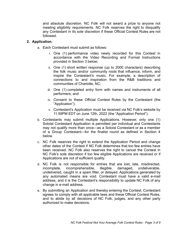and absolute discretion. NC Folk will not award a prize to anyone not meeting eligibility requirements. NC Folk reserves the right to disqualify any Contestant in its sole discretion if these Official Contest Rules are not followed.

# **2. Application.**

- a. Each Contestant must submit as follows:
	- i. One (1) performance video newly recorded for this Contest in accordance with the Video Recording and Format Instructions provided in Section 3 below;
	- ii. One (1) short written response (up to 2000 characters) describing the folk music and/or community roots that influence, inform, and inspire the Contestant's music. For example, a description of connections to and inspiration from the R&B traditions and communities of Charlotte, NC;
	- iii. One (1) completed entry form with names and instruments of all performers; and
	- iv. Consent to these Official Contest Rules by the Contestant (the "Application");
	- v. Contestant's Application must be received via NC Folk's website by 11:59PM EDT on June 12th, 2022 (the "Application Period").
- b. Contestants may submit multiple Applications. However, only one (1) Soloist Contestant Application is permitted per individual and Contestants may not qualify more than once—as a Soloist Contestant or as a member of a Group Contestant—for the finalist round as defined in Section 4 below.
- c. NC Folk reserves the right to extend the Application Period and change other dates of the Contest if NC Folk determines that too few entries have been received. NC Folk also reserves the right to cancel the Contest in NC Folk's sole discretion if too few eligible Applications are received or if Applications are not of sufficient quality.
- d. NC Folk is not responsible for entries that are lost, late, misdirected, incomplete, incomprehensible, illegible, damaged, undeliverable, undelivered, caught in a spam filter, or delayed. Applications generated by any automated means are void. Contestant must have a valid e-mail address, and it is the Contestant's responsibility to update NC Folk of any change in e-mail address.
- e. By submitting an Application and thereby entering the Contest, Contestant agrees to comply with all applicable laws and these Official Contest Rules, and to abide by all decisions of NC Folk, judges, and any other party authorized to make decisions.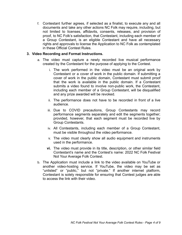f. Contestant further agrees, if selected as a finalist, to execute any and all documents and take any other actions NC Folk may require, including, but not limited to licenses, affidavits, consents, releases, and provision of proof, to NC Folk's satisfaction, that Contestant, including each member of a Group Contestant, is an eligible Contestant and have all necessary rights and approvals to license the Application to NC Folk as contemplated in these Official Contest Rules.

## **3. Video Recording and Format Instructions.**

- a. The video must capture a newly recorded live musical performance created by the Contestant for the purpose of applying to the Contest.
	- i. The work performed in the video must be an original work by Contestant or a cover of work in the public domain. If submitting a cover of work in the public domain, Contestant must submit proof that the work is available in the public domain. If a Contestant submits a video found to involve non-public work, the Contestant, including each member of a Group Contestant, will be disqualified and any prize awarded will be revoked.
	- ii. The performance does not have to be recorded in front of a live audience.
	- iii. Due to COVID precautions, Group Contestants may record performance segments separately and edit the segments together; provided, however, that each segment must be recorded live by Group Contestants.
	- iv. All Contestants, including each member of a Group Contestant, must be visible throughout the video performance.
	- v. The video must clearly show all audio equipment and instruments used in the performance.
	- **vi.** The video must provide in its title, description, or other similar field Contestant's name and the Contest's name: 2022 NC Folk Festival Not Your Average Folk Contest.
- b. The Application must include a link to the video available on YouTube or another video-hosting service. If YouTube, the video may be set as "unlisted" or "public," but not "private." If another internet platform, Contestant is solely responsible for ensuring that Contest judges are able to access the link with their video.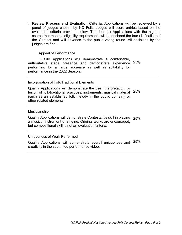**4. Review Process and Evaluation Criteria.** Applications will be reviewed by a panel of judges chosen by NC Folk. Judges will score entries based on the evaluation criteria provided below. The four (4) Applications with the highest scores that meet all eligibility requirements will be declared the four (4) finalists of the Contest and will advance to the public voting round. All decisions by the judges are final.

#### Appeal of Performance

Quality Applications will demonstrate a comfortable, authoritative stage presence and demonstrate experience performing for a large audience as well as suitability for performance in the 2022 Season. 25%

#### Incorporation of Folk/Traditional Elements

Quality Applications will demonstrate the use, interpretation, or fusion of folk/traditional practices, instruments, musical material (such as an established folk melody in the public domain), or other related elements. 25%

#### Musicianship

Quality Applications will demonstrate Contestant's skill in playing 25% a musical instrument or singing. Original works are encouraged, but compositional skill is not an evaluation criteria.

#### Uniqueness of Work Performed

Quality Applications will demonstrate overall uniqueness and 25% creativity in the submitted performance video.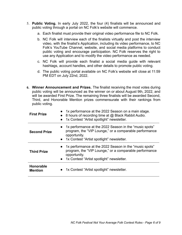- 5. **Public Voting.** In early July 2022, the four (4) finalists will be announced and public voting through a portal on NC Folk's website will commence.
	- a. Each finalist must provide their original video performance file to NC Folk.
	- b. NC Folk will interview each of the finalists virtually and post the interview video, with the finalist's Application, including its video performance, to NC Folk's YouTube Channel, website, and social media platforms to conduct public voting and encourage participation. NC Folk reserves the right to use any Application and to modify the video performance as needed.
	- c. NC Folk will provide each finalist a social media guide with relevant hashtags, account handles, and other details to promote public voting.
	- d. The public voting portal available on NC Folk's website will close at 11:59 PM EDT on July 22nd, 2022.
- **6. Winner Announcement and Prizes.** The finalist receiving the most votes during public voting will be announced as the winner on or about August 9th, 2022, and will be awarded First Prize. The remaining three finalists will be awarded Second, Third, and Honorable Mention prizes commensurate with their rankings from public voting.

| <b>First Prize</b>                 | • 1x performance at the 2022 Season on a main stage.<br>• 8 hours of recording time at @ Black Rabbit Audio.<br>1x Contest "Artist spotlight" newsletter.                         |
|------------------------------------|-----------------------------------------------------------------------------------------------------------------------------------------------------------------------------------|
| <b>Second Prize</b>                | • 1x performance at the 2022 Season in the "music spots"<br>program, the "VIP Lounge," or a comparable performance<br>opportunity.<br>• 1x Contest "Artist spotlight" newsletter. |
| <b>Third Prize</b>                 | • 1x performance at the 2022 Season in the "music spots"<br>program, the "VIP Lounge," or a comparable performance<br>opportunity.<br>• 1x Contest "Artist spotlight" newsletter. |
| <b>Honorable</b><br><b>Mention</b> | 1x Contest "Artist spotlight" newsletter.                                                                                                                                         |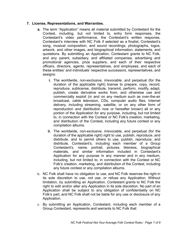# **7. License, Representations, and Warranties.**

- **a.** The term "Application" means all material submitted by Contestant for the Contest, including, but not limited to, entry form responses, the Contestant's video performance, the Contestant's written response, Contestant's interview with NC Folk if selected as a finalist, Contestant's song, musical composition, and sound recordings, photographs, logos, artwork, and other images, and biographical information, statements, and quotations. By submitting an Application, Contestant grants to NC Folk, and any parent, subsidiary, and affiliated companies, advertising and promotional agencies, prize suppliers, and each of their respective officers, directors, agents, representatives, and employees, and each of these entities' and individuals' respective successors, representatives, and assigns:
	- **i.** The worldwide, non-exclusive, irrevocable, and perpetual (for the duration of the applicable right) license to prepare, copy, record, reproduce, sublicense, distribute, transmit, perform, modify, adapt, publish, create derivative works from, and otherwise use and commercially exploit (in and on any medium such as over-the-air broadcast, cable television, CDs, computer audio files, Internet delivery, including streaming, satellite, or on any other form of reproduction and distribution now or hereafter known) all or any portion of the Application for any purpose, including, but not limited to, in connection with the Contest or NC Folk's creation, marketing, and distribution of the Contest, including any future contest or any compilation albums.
	- **ii.** The worldwide, non-exclusive, irrevocable, and perpetual (for the duration of the applicable right) right to use, publish, reproduce, and distribute, and to permit others to use, publish, reproduce, and distribute, Contestant's, including each member of a Group Contestant's, name, portrait, pictures, likeness, biographical materials, and similar information included in Contestant's Application for any purpose in any manner and in any medium, including, but not limited to, in connection with the Contest or NC Folk's creation, marketing, and distribution of the Contest, including any future contest or any compilation albums.
- b. NC Folk shall have no obligation to use, and NC Folk reserves the right in its sole discretion to use, not use, or refuse any Application. Without limitation, by submitting an Application, Contestant grants to NC Folk the right to edit and/or alter any Application in its sole discretion. No part of an Application shall be subject to any obligation of confidentiality on NC Folk's part, and NC Folk shall not be liable for any use or disclosure of any Application.
- c. By submitting an Application, Contestant, including each member of a Group Contestant, represents and warrants to NC Folk that: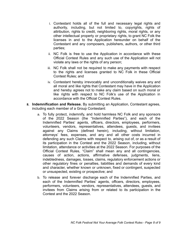- i. Contestant holds all of the full and necessary legal rights and authority, including, but not limited to, copyrights, rights of attribution, rights to credit, neighboring rights, moral rights, or any other intellectual property or proprietary rights, to grant NC Folk the licenses in and to the Application hereunder on behalf of the Contestant and any composers, publishers, authors, or other third parties;
- ii. NC Folk is free to use the Application in accordance with these Official Contest Rules and any such use of the Application will not violate any laws or the rights of any person;
- iii. NC Folk shall not be required to make any payments with respect to the rights and licenses granted to NC Folk in these Official Contest Rules; and
- iv. Contestant hereby irrevocably and unconditionally waives any and all moral and like rights that Contestant may have in the Application and hereby agrees not to make any claim based on such moral or like rights with respect to NC Folk's use of the Application in accordance with the Official Contest Rules.
- **8. Indemnification and Release.** By submitting an Application, Contestant agrees, including each member of a Group Contestant:
	- a. To fully protect, indemnify, and hold harmless NC Folk and any sponsors of the 2022 Season (the "Indemnified Parties"), and each of the Indemnified Parties' agents, officers, directors, employees, performers, volunteers, vendors, representatives, attendees, guests, and invitees against any Claims (defined herein), including, without limitation, attorneys' fees, expenses, and any and all other costs incurred in defending any such Claims with respect to, arising out of, or as a result of its participation in the Contest and the 2022 Season, including, without limitation, attendance or activities at the 2022 Season. For purposes of the Official Contest Rules, "Claim" shall mean any and all contingencies, causes of action, actions, affirmative defenses, judgments, liens, indebtedness, damages, losses, claims, regulatory enforcement actions or other regulatory fines or penalties, liabilities and demands of every kind and character, whether known or unknown, fixed or contingent, suspected or unsuspected, existing or prospective; and
	- b. To release and forever discharge each of the Indemnified Parties, and each of the Indemnified Parties' agents, officers, directors, employees, performers, volunteers, vendors, representatives, attendees, guests, and invitees from Claims arising from or related to its participation in the Contest and the 2022 Season.